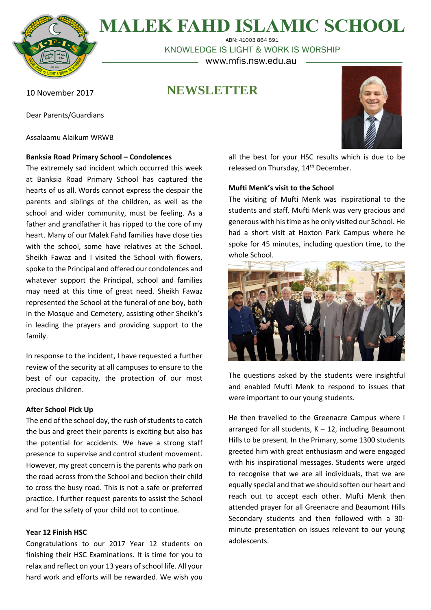

**MALEK FAHD ISLAMIC SCHOOL** 

ABN: 41003 864 891 KNOWLEDGE IS LIGHT & WORK IS WORSHIP – www.mfis.nsw.edu.au

**NEWSLETTER**

10 November 2017

Dear Parents/Guardians

Assalaamu Alaikum WRWB

# **Banksia Road Primary School – Condolences**

The extremely sad incident which occurred this week at Banksia Road Primary School has captured the hearts of us all. Words cannot express the despair the parents and siblings of the children, as well as the school and wider community, must be feeling. As a father and grandfather it has ripped to the core of my heart. Many of our Malek Fahd families have close ties with the school, some have relatives at the School. Sheikh Fawaz and I visited the School with flowers, spoke to the Principal and offered our condolences and whatever support the Principal, school and families may need at this time of great need. Sheikh Fawaz represented the School at the funeral of one boy, both in the Mosque and Cemetery, assisting other Sheikh's in leading the prayers and providing support to the family.

In response to the incident, I have requested a further review of the security at all campuses to ensure to the best of our capacity, the protection of our most precious children.

# **After School Pick Up**

The end of the school day, the rush of students to catch the bus and greet their parents is exciting but also has the potential for accidents. We have a strong staff presence to supervise and control student movement. However, my great concern is the parents who park on the road across from the School and beckon their child to cross the busy road. This is not a safe or preferred practice. I further request parents to assist the School and for the safety of your child not to continue.

# **Year 12 Finish HSC**

Congratulations to our 2017 Year 12 students on finishing their HSC Examinations. It is time for you to relax and reflect on your 13 years of school life. All your hard work and efforts will be rewarded. We wish you

all the best for your HSC results which is due to be released on Thursday, 14<sup>th</sup> December.

# **Mufti Menk's visit to the School**

The visiting of Mufti Menk was inspirational to the students and staff. Mufti Menk was very gracious and generous with histime as he only visited our School. He had a short visit at Hoxton Park Campus where he spoke for 45 minutes, including question time, to the whole School.



The questions asked by the students were insightful and enabled Mufti Menk to respond to issues that were important to our young students.

He then travelled to the Greenacre Campus where I arranged for all students,  $K - 12$ , including Beaumont Hills to be present. In the Primary, some 1300 students greeted him with great enthusiasm and were engaged with his inspirational messages. Students were urged to recognise that we are all individuals, that we are equally special and that we should soften our heart and reach out to accept each other. Mufti Menk then attended prayer for all Greenacre and Beaumont Hills Secondary students and then followed with a 30 minute presentation on issues relevant to our young adolescents.